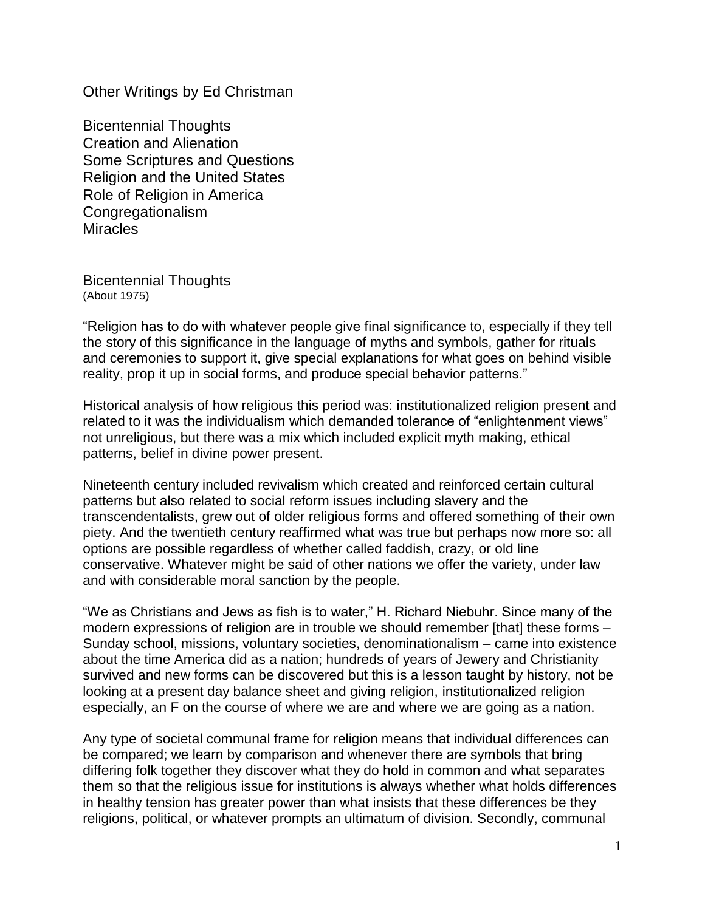Other Writings by Ed Christman

Bicentennial Thoughts Creation and Alienation Some Scriptures and Questions Religion and the United States Role of Religion in America Congregationalism **Miracles** 

Bicentennial Thoughts (About 1975)

"Religion has to do with whatever people give final significance to, especially if they tell the story of this significance in the language of myths and symbols, gather for rituals and ceremonies to support it, give special explanations for what goes on behind visible reality, prop it up in social forms, and produce special behavior patterns."

Historical analysis of how religious this period was: institutionalized religion present and related to it was the individualism which demanded tolerance of "enlightenment views" not unreligious, but there was a mix which included explicit myth making, ethical patterns, belief in divine power present.

Nineteenth century included revivalism which created and reinforced certain cultural patterns but also related to social reform issues including slavery and the transcendentalists, grew out of older religious forms and offered something of their own piety. And the twentieth century reaffirmed what was true but perhaps now more so: all options are possible regardless of whether called faddish, crazy, or old line conservative. Whatever might be said of other nations we offer the variety, under law and with considerable moral sanction by the people.

"We as Christians and Jews as fish is to water," H. Richard Niebuhr. Since many of the modern expressions of religion are in trouble we should remember [that] these forms – Sunday school, missions, voluntary societies, denominationalism – came into existence about the time America did as a nation; hundreds of years of Jewery and Christianity survived and new forms can be discovered but this is a lesson taught by history, not be looking at a present day balance sheet and giving religion, institutionalized religion especially, an F on the course of where we are and where we are going as a nation.

Any type of societal communal frame for religion means that individual differences can be compared; we learn by comparison and whenever there are symbols that bring differing folk together they discover what they do hold in common and what separates them so that the religious issue for institutions is always whether what holds differences in healthy tension has greater power than what insists that these differences be they religions, political, or whatever prompts an ultimatum of division. Secondly, communal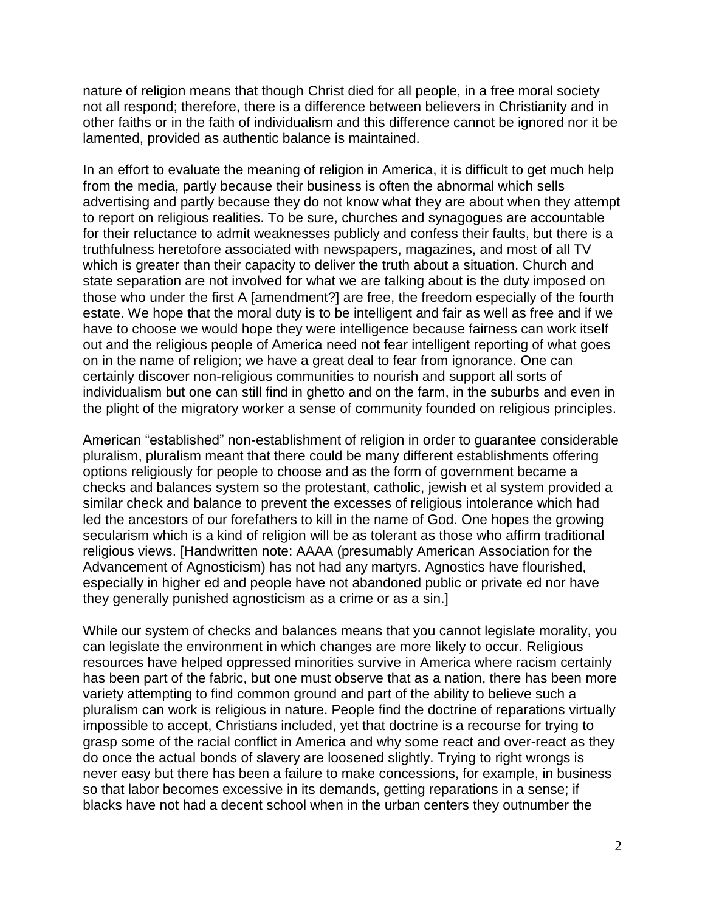nature of religion means that though Christ died for all people, in a free moral society not all respond; therefore, there is a difference between believers in Christianity and in other faiths or in the faith of individualism and this difference cannot be ignored nor it be lamented, provided as authentic balance is maintained.

In an effort to evaluate the meaning of religion in America, it is difficult to get much help from the media, partly because their business is often the abnormal which sells advertising and partly because they do not know what they are about when they attempt to report on religious realities. To be sure, churches and synagogues are accountable for their reluctance to admit weaknesses publicly and confess their faults, but there is a truthfulness heretofore associated with newspapers, magazines, and most of all TV which is greater than their capacity to deliver the truth about a situation. Church and state separation are not involved for what we are talking about is the duty imposed on those who under the first A [amendment?] are free, the freedom especially of the fourth estate. We hope that the moral duty is to be intelligent and fair as well as free and if we have to choose we would hope they were intelligence because fairness can work itself out and the religious people of America need not fear intelligent reporting of what goes on in the name of religion; we have a great deal to fear from ignorance. One can certainly discover non-religious communities to nourish and support all sorts of individualism but one can still find in ghetto and on the farm, in the suburbs and even in the plight of the migratory worker a sense of community founded on religious principles.

American "established" non-establishment of religion in order to guarantee considerable pluralism, pluralism meant that there could be many different establishments offering options religiously for people to choose and as the form of government became a checks and balances system so the protestant, catholic, jewish et al system provided a similar check and balance to prevent the excesses of religious intolerance which had led the ancestors of our forefathers to kill in the name of God. One hopes the growing secularism which is a kind of religion will be as tolerant as those who affirm traditional religious views. [Handwritten note: AAAA (presumably American Association for the Advancement of Agnosticism) has not had any martyrs. Agnostics have flourished, especially in higher ed and people have not abandoned public or private ed nor have they generally punished agnosticism as a crime or as a sin.]

While our system of checks and balances means that you cannot legislate morality, you can legislate the environment in which changes are more likely to occur. Religious resources have helped oppressed minorities survive in America where racism certainly has been part of the fabric, but one must observe that as a nation, there has been more variety attempting to find common ground and part of the ability to believe such a pluralism can work is religious in nature. People find the doctrine of reparations virtually impossible to accept, Christians included, yet that doctrine is a recourse for trying to grasp some of the racial conflict in America and why some react and over-react as they do once the actual bonds of slavery are loosened slightly. Trying to right wrongs is never easy but there has been a failure to make concessions, for example, in business so that labor becomes excessive in its demands, getting reparations in a sense; if blacks have not had a decent school when in the urban centers they outnumber the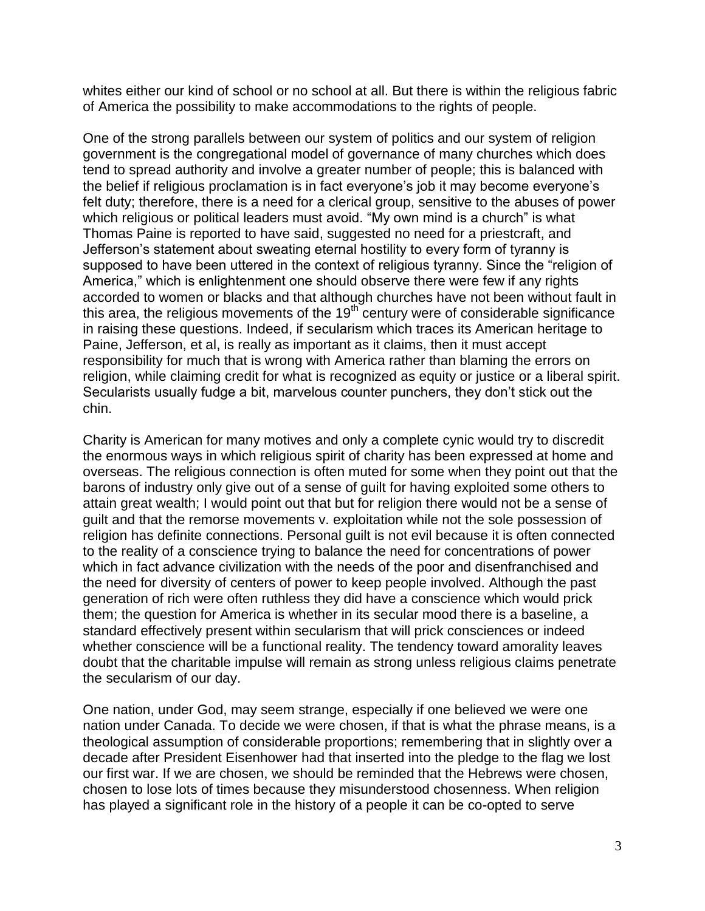whites either our kind of school or no school at all. But there is within the religious fabric of America the possibility to make accommodations to the rights of people.

One of the strong parallels between our system of politics and our system of religion government is the congregational model of governance of many churches which does tend to spread authority and involve a greater number of people; this is balanced with the belief if religious proclamation is in fact everyone"s job it may become everyone"s felt duty; therefore, there is a need for a clerical group, sensitive to the abuses of power which religious or political leaders must avoid. "My own mind is a church" is what Thomas Paine is reported to have said, suggested no need for a priestcraft, and Jefferson"s statement about sweating eternal hostility to every form of tyranny is supposed to have been uttered in the context of religious tyranny. Since the "religion of America," which is enlightenment one should observe there were few if any rights accorded to women or blacks and that although churches have not been without fault in this area, the religious movements of the  $19<sup>th</sup>$  century were of considerable significance in raising these questions. Indeed, if secularism which traces its American heritage to Paine, Jefferson, et al, is really as important as it claims, then it must accept responsibility for much that is wrong with America rather than blaming the errors on religion, while claiming credit for what is recognized as equity or justice or a liberal spirit. Secularists usually fudge a bit, marvelous counter punchers, they don"t stick out the chin.

Charity is American for many motives and only a complete cynic would try to discredit the enormous ways in which religious spirit of charity has been expressed at home and overseas. The religious connection is often muted for some when they point out that the barons of industry only give out of a sense of guilt for having exploited some others to attain great wealth; I would point out that but for religion there would not be a sense of guilt and that the remorse movements v. exploitation while not the sole possession of religion has definite connections. Personal guilt is not evil because it is often connected to the reality of a conscience trying to balance the need for concentrations of power which in fact advance civilization with the needs of the poor and disenfranchised and the need for diversity of centers of power to keep people involved. Although the past generation of rich were often ruthless they did have a conscience which would prick them; the question for America is whether in its secular mood there is a baseline, a standard effectively present within secularism that will prick consciences or indeed whether conscience will be a functional reality. The tendency toward amorality leaves doubt that the charitable impulse will remain as strong unless religious claims penetrate the secularism of our day.

One nation, under God, may seem strange, especially if one believed we were one nation under Canada. To decide we were chosen, if that is what the phrase means, is a theological assumption of considerable proportions; remembering that in slightly over a decade after President Eisenhower had that inserted into the pledge to the flag we lost our first war. If we are chosen, we should be reminded that the Hebrews were chosen, chosen to lose lots of times because they misunderstood chosenness. When religion has played a significant role in the history of a people it can be co-opted to serve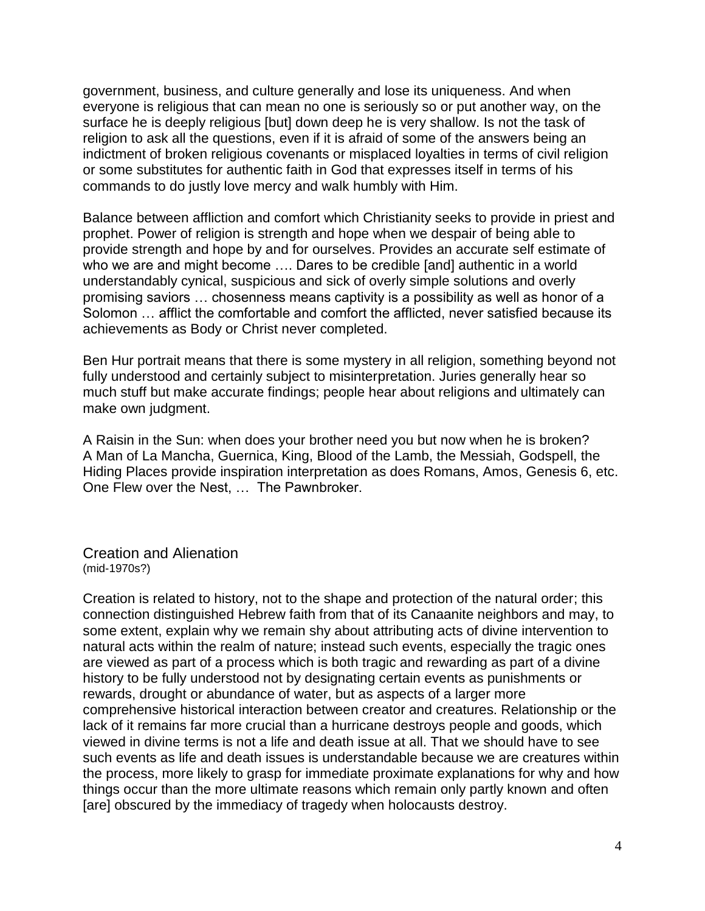government, business, and culture generally and lose its uniqueness. And when everyone is religious that can mean no one is seriously so or put another way, on the surface he is deeply religious [but] down deep he is very shallow. Is not the task of religion to ask all the questions, even if it is afraid of some of the answers being an indictment of broken religious covenants or misplaced loyalties in terms of civil religion or some substitutes for authentic faith in God that expresses itself in terms of his commands to do justly love mercy and walk humbly with Him.

Balance between affliction and comfort which Christianity seeks to provide in priest and prophet. Power of religion is strength and hope when we despair of being able to provide strength and hope by and for ourselves. Provides an accurate self estimate of who we are and might become …. Dares to be credible [and] authentic in a world understandably cynical, suspicious and sick of overly simple solutions and overly promising saviors … chosenness means captivity is a possibility as well as honor of a Solomon … afflict the comfortable and comfort the afflicted, never satisfied because its achievements as Body or Christ never completed.

Ben Hur portrait means that there is some mystery in all religion, something beyond not fully understood and certainly subject to misinterpretation. Juries generally hear so much stuff but make accurate findings; people hear about religions and ultimately can make own judgment.

A Raisin in the Sun: when does your brother need you but now when he is broken? A Man of La Mancha, Guernica, King, Blood of the Lamb, the Messiah, Godspell, the Hiding Places provide inspiration interpretation as does Romans, Amos, Genesis 6, etc. One Flew over the Nest, … The Pawnbroker.

Creation and Alienation (mid-1970s?)

Creation is related to history, not to the shape and protection of the natural order; this connection distinguished Hebrew faith from that of its Canaanite neighbors and may, to some extent, explain why we remain shy about attributing acts of divine intervention to natural acts within the realm of nature; instead such events, especially the tragic ones are viewed as part of a process which is both tragic and rewarding as part of a divine history to be fully understood not by designating certain events as punishments or rewards, drought or abundance of water, but as aspects of a larger more comprehensive historical interaction between creator and creatures. Relationship or the lack of it remains far more crucial than a hurricane destroys people and goods, which viewed in divine terms is not a life and death issue at all. That we should have to see such events as life and death issues is understandable because we are creatures within the process, more likely to grasp for immediate proximate explanations for why and how things occur than the more ultimate reasons which remain only partly known and often [are] obscured by the immediacy of tragedy when holocausts destroy.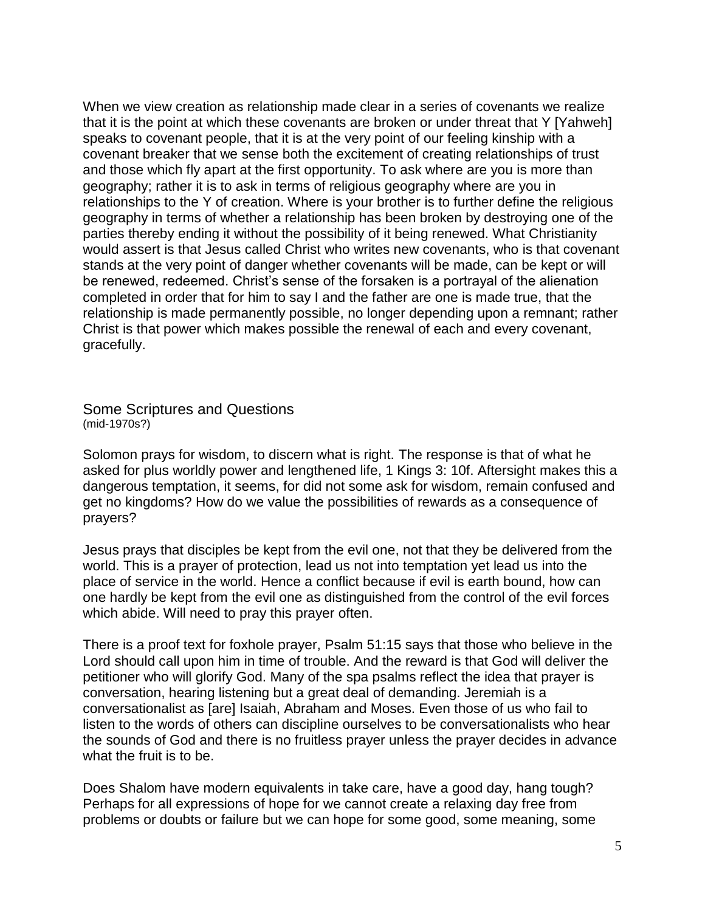When we view creation as relationship made clear in a series of covenants we realize that it is the point at which these covenants are broken or under threat that Y [Yahweh] speaks to covenant people, that it is at the very point of our feeling kinship with a covenant breaker that we sense both the excitement of creating relationships of trust and those which fly apart at the first opportunity. To ask where are you is more than geography; rather it is to ask in terms of religious geography where are you in relationships to the Y of creation. Where is your brother is to further define the religious geography in terms of whether a relationship has been broken by destroying one of the parties thereby ending it without the possibility of it being renewed. What Christianity would assert is that Jesus called Christ who writes new covenants, who is that covenant stands at the very point of danger whether covenants will be made, can be kept or will be renewed, redeemed. Christ"s sense of the forsaken is a portrayal of the alienation completed in order that for him to say I and the father are one is made true, that the relationship is made permanently possible, no longer depending upon a remnant; rather Christ is that power which makes possible the renewal of each and every covenant, gracefully.

Some Scriptures and Questions (mid-1970s?)

Solomon prays for wisdom, to discern what is right. The response is that of what he asked for plus worldly power and lengthened life, 1 Kings 3: 10f. Aftersight makes this a dangerous temptation, it seems, for did not some ask for wisdom, remain confused and get no kingdoms? How do we value the possibilities of rewards as a consequence of prayers?

Jesus prays that disciples be kept from the evil one, not that they be delivered from the world. This is a prayer of protection, lead us not into temptation yet lead us into the place of service in the world. Hence a conflict because if evil is earth bound, how can one hardly be kept from the evil one as distinguished from the control of the evil forces which abide. Will need to pray this prayer often.

There is a proof text for foxhole prayer, Psalm 51:15 says that those who believe in the Lord should call upon him in time of trouble. And the reward is that God will deliver the petitioner who will glorify God. Many of the spa psalms reflect the idea that prayer is conversation, hearing listening but a great deal of demanding. Jeremiah is a conversationalist as [are] Isaiah, Abraham and Moses. Even those of us who fail to listen to the words of others can discipline ourselves to be conversationalists who hear the sounds of God and there is no fruitless prayer unless the prayer decides in advance what the fruit is to be.

Does Shalom have modern equivalents in take care, have a good day, hang tough? Perhaps for all expressions of hope for we cannot create a relaxing day free from problems or doubts or failure but we can hope for some good, some meaning, some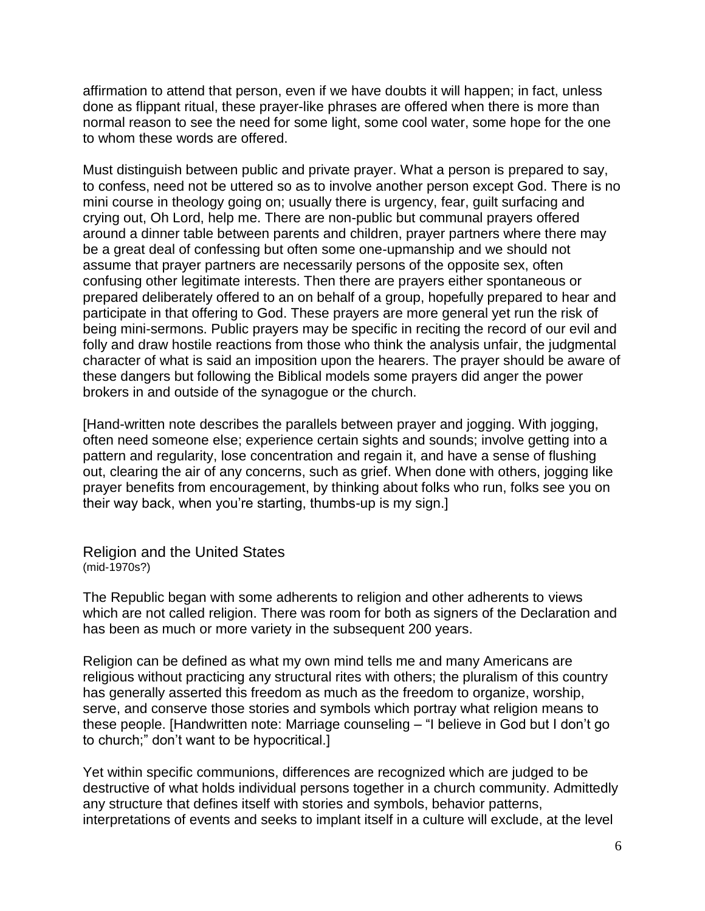affirmation to attend that person, even if we have doubts it will happen; in fact, unless done as flippant ritual, these prayer-like phrases are offered when there is more than normal reason to see the need for some light, some cool water, some hope for the one to whom these words are offered.

Must distinguish between public and private prayer. What a person is prepared to say, to confess, need not be uttered so as to involve another person except God. There is no mini course in theology going on; usually there is urgency, fear, guilt surfacing and crying out, Oh Lord, help me. There are non-public but communal prayers offered around a dinner table between parents and children, prayer partners where there may be a great deal of confessing but often some one-upmanship and we should not assume that prayer partners are necessarily persons of the opposite sex, often confusing other legitimate interests. Then there are prayers either spontaneous or prepared deliberately offered to an on behalf of a group, hopefully prepared to hear and participate in that offering to God. These prayers are more general yet run the risk of being mini-sermons. Public prayers may be specific in reciting the record of our evil and folly and draw hostile reactions from those who think the analysis unfair, the judgmental character of what is said an imposition upon the hearers. The prayer should be aware of these dangers but following the Biblical models some prayers did anger the power brokers in and outside of the synagogue or the church.

[Hand-written note describes the parallels between prayer and jogging. With jogging, often need someone else; experience certain sights and sounds; involve getting into a pattern and regularity, lose concentration and regain it, and have a sense of flushing out, clearing the air of any concerns, such as grief. When done with others, jogging like prayer benefits from encouragement, by thinking about folks who run, folks see you on their way back, when you"re starting, thumbs-up is my sign.]

Religion and the United States (mid-1970s?)

The Republic began with some adherents to religion and other adherents to views which are not called religion. There was room for both as signers of the Declaration and has been as much or more variety in the subsequent 200 years.

Religion can be defined as what my own mind tells me and many Americans are religious without practicing any structural rites with others; the pluralism of this country has generally asserted this freedom as much as the freedom to organize, worship, serve, and conserve those stories and symbols which portray what religion means to these people. [Handwritten note: Marriage counseling – "I believe in God but I don"t go to church;" don"t want to be hypocritical.]

Yet within specific communions, differences are recognized which are judged to be destructive of what holds individual persons together in a church community. Admittedly any structure that defines itself with stories and symbols, behavior patterns, interpretations of events and seeks to implant itself in a culture will exclude, at the level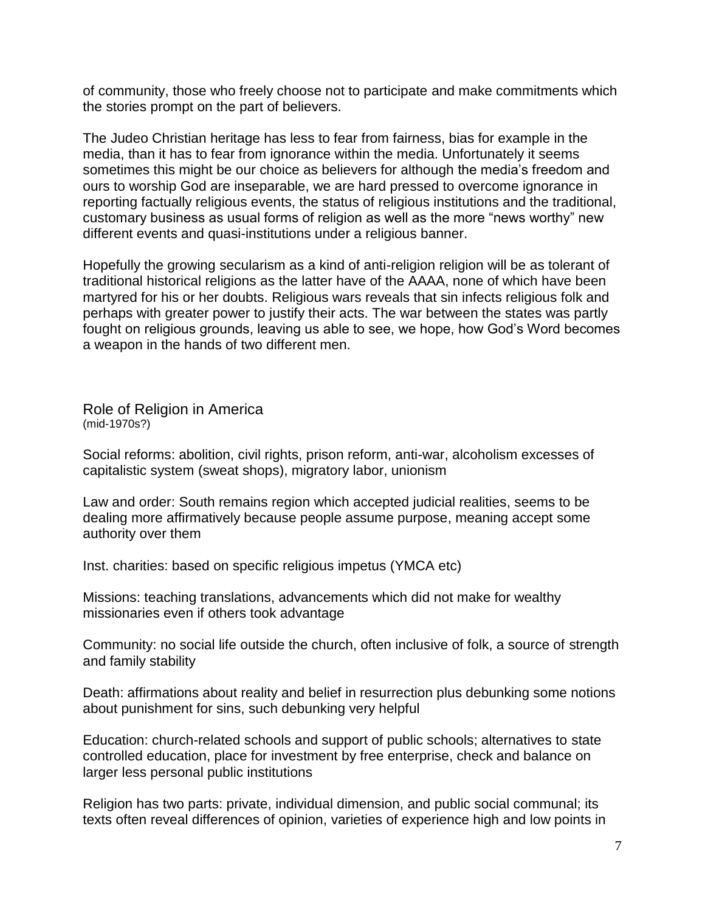of community, those who freely choose not to participate and make commitments which the stories prompt on the part of believers.

The Judeo Christian heritage has less to fear from fairness, bias for example in the media, than it has to fear from ignorance within the media. Unfortunately it seems sometimes this might be our choice as believers for although the media"s freedom and ours to worship God are inseparable, we are hard pressed to overcome ignorance in reporting factually religious events, the status of religious institutions and the traditional, customary business as usual forms of religion as well as the more "news worthy" new different events and quasi-institutions under a religious banner.

Hopefully the growing secularism as a kind of anti-religion religion will be as tolerant of traditional historical religions as the latter have of the AAAA, none of which have been martyred for his or her doubts. Religious wars reveals that sin infects religious folk and perhaps with greater power to justify their acts. The war between the states was partly fought on religious grounds, leaving us able to see, we hope, how God"s Word becomes a weapon in the hands of two different men.

Role of Religion in America (mid-1970s?)

Social reforms: abolition, civil rights, prison reform, anti-war, alcoholism excesses of capitalistic system (sweat shops), migratory labor, unionism

Law and order: South remains region which accepted judicial realities, seems to be dealing more affirmatively because people assume purpose, meaning accept some authority over them

Inst. charities: based on specific religious impetus (YMCA etc)

Missions: teaching translations, advancements which did not make for wealthy missionaries even if others took advantage

Community: no social life outside the church, often inclusive of folk, a source of strength and family stability

Death: affirmations about reality and belief in resurrection plus debunking some notions about punishment for sins, such debunking very helpful

Education: church-related schools and support of public schools; alternatives to state controlled education, place for investment by free enterprise, check and balance on larger less personal public institutions

Religion has two parts: private, individual dimension, and public social communal; its texts often reveal differences of opinion, varieties of experience high and low points in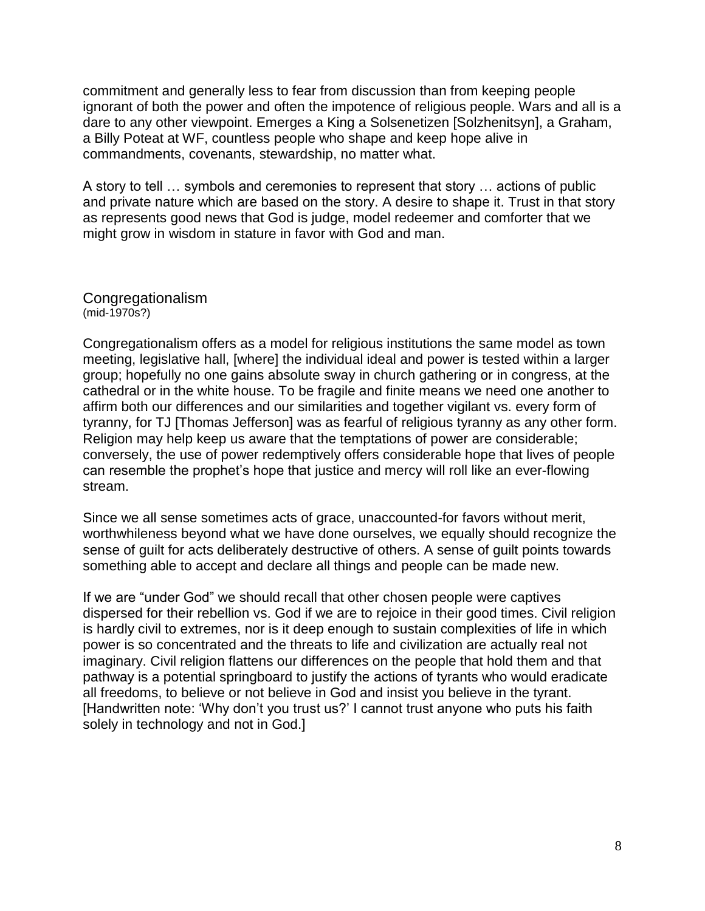commitment and generally less to fear from discussion than from keeping people ignorant of both the power and often the impotence of religious people. Wars and all is a dare to any other viewpoint. Emerges a King a Solsenetizen [Solzhenitsyn], a Graham, a Billy Poteat at WF, countless people who shape and keep hope alive in commandments, covenants, stewardship, no matter what.

A story to tell … symbols and ceremonies to represent that story … actions of public and private nature which are based on the story. A desire to shape it. Trust in that story as represents good news that God is judge, model redeemer and comforter that we might grow in wisdom in stature in favor with God and man.

Congregationalism (mid-1970s?)

Congregationalism offers as a model for religious institutions the same model as town meeting, legislative hall, [where] the individual ideal and power is tested within a larger group; hopefully no one gains absolute sway in church gathering or in congress, at the cathedral or in the white house. To be fragile and finite means we need one another to affirm both our differences and our similarities and together vigilant vs. every form of tyranny, for TJ [Thomas Jefferson] was as fearful of religious tyranny as any other form. Religion may help keep us aware that the temptations of power are considerable; conversely, the use of power redemptively offers considerable hope that lives of people can resemble the prophet"s hope that justice and mercy will roll like an ever-flowing stream.

Since we all sense sometimes acts of grace, unaccounted-for favors without merit, worthwhileness beyond what we have done ourselves, we equally should recognize the sense of guilt for acts deliberately destructive of others. A sense of guilt points towards something able to accept and declare all things and people can be made new.

If we are "under God" we should recall that other chosen people were captives dispersed for their rebellion vs. God if we are to rejoice in their good times. Civil religion is hardly civil to extremes, nor is it deep enough to sustain complexities of life in which power is so concentrated and the threats to life and civilization are actually real not imaginary. Civil religion flattens our differences on the people that hold them and that pathway is a potential springboard to justify the actions of tyrants who would eradicate all freedoms, to believe or not believe in God and insist you believe in the tyrant. [Handwritten note: "Why don"t you trust us?" I cannot trust anyone who puts his faith solely in technology and not in God.]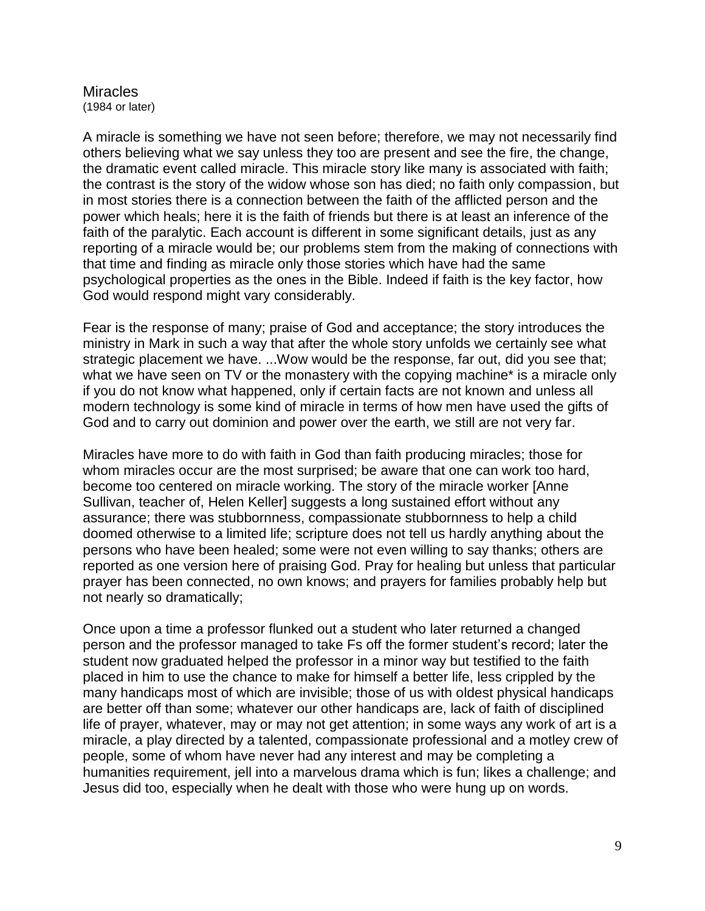## **Miracles** (1984 or later)

A miracle is something we have not seen before; therefore, we may not necessarily find others believing what we say unless they too are present and see the fire, the change, the dramatic event called miracle. This miracle story like many is associated with faith; the contrast is the story of the widow whose son has died; no faith only compassion, but in most stories there is a connection between the faith of the afflicted person and the power which heals; here it is the faith of friends but there is at least an inference of the faith of the paralytic. Each account is different in some significant details, just as any reporting of a miracle would be; our problems stem from the making of connections with that time and finding as miracle only those stories which have had the same psychological properties as the ones in the Bible. Indeed if faith is the key factor, how God would respond might vary considerably.

Fear is the response of many; praise of God and acceptance; the story introduces the ministry in Mark in such a way that after the whole story unfolds we certainly see what strategic placement we have. ...Wow would be the response, far out, did you see that; what we have seen on TV or the monastery with the copying machine\* is a miracle only if you do not know what happened, only if certain facts are not known and unless all modern technology is some kind of miracle in terms of how men have used the gifts of God and to carry out dominion and power over the earth, we still are not very far.

Miracles have more to do with faith in God than faith producing miracles; those for whom miracles occur are the most surprised; be aware that one can work too hard, become too centered on miracle working. The story of the miracle worker [Anne Sullivan, teacher of, Helen Keller] suggests a long sustained effort without any assurance; there was stubbornness, compassionate stubbornness to help a child doomed otherwise to a limited life; scripture does not tell us hardly anything about the persons who have been healed; some were not even willing to say thanks; others are reported as one version here of praising God. Pray for healing but unless that particular prayer has been connected, no own knows; and prayers for families probably help but not nearly so dramatically;

Once upon a time a professor flunked out a student who later returned a changed person and the professor managed to take Fs off the former student"s record; later the student now graduated helped the professor in a minor way but testified to the faith placed in him to use the chance to make for himself a better life, less crippled by the many handicaps most of which are invisible; those of us with oldest physical handicaps are better off than some; whatever our other handicaps are, lack of faith of disciplined life of prayer, whatever, may or may not get attention; in some ways any work of art is a miracle, a play directed by a talented, compassionate professional and a motley crew of people, some of whom have never had any interest and may be completing a humanities requirement, jell into a marvelous drama which is fun; likes a challenge; and Jesus did too, especially when he dealt with those who were hung up on words.